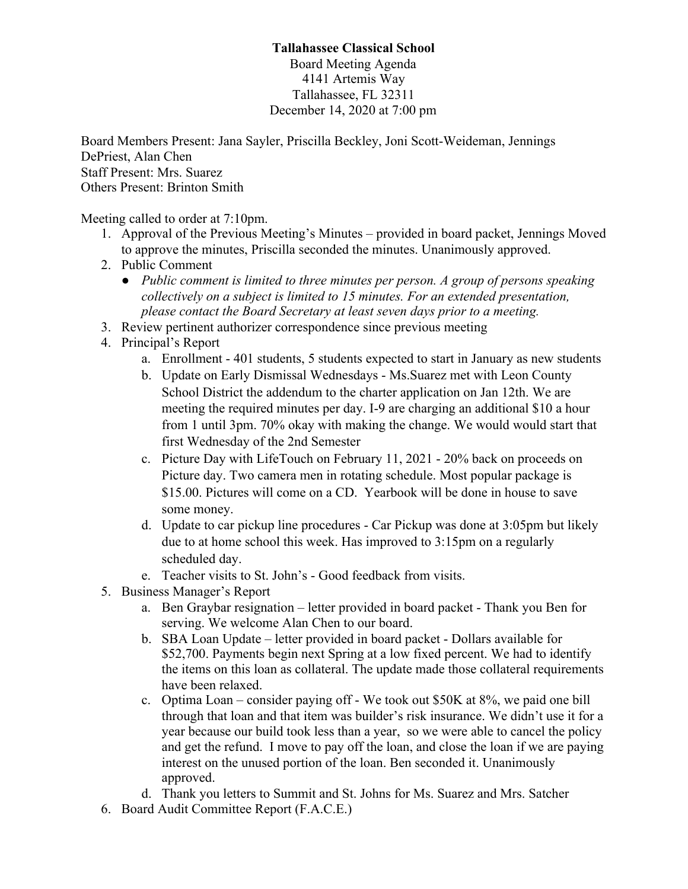## **Tallahassee Classical School**

Board Meeting Agenda 4141 Artemis Way Tallahassee, FL 32311 December 14, 2020 at 7:00 pm

Board Members Present: Jana Sayler, Priscilla Beckley, Joni Scott-Weideman, Jennings DePriest, Alan Chen Staff Present: Mrs. Suarez Others Present: Brinton Smith

Meeting called to order at 7:10pm.

- 1. Approval of the Previous Meeting's Minutes provided in board packet, Jennings Moved to approve the minutes, Priscilla seconded the minutes. Unanimously approved.
- 2. Public Comment
	- *● Public comment is limited to three minutes per person. A group of persons speaking collectively on a subject is limited to 15 minutes. For an extended presentation, please contact the Board Secretary at least seven days prior to a meeting.*
- 3. Review pertinent authorizer correspondence since previous meeting
- 4. Principal's Report
	- a. Enrollment 401 students, 5 students expected to start in January as new students
	- b. Update on Early Dismissal Wednesdays Ms.Suarez met with Leon County School District the addendum to the charter application on Jan 12th. We are meeting the required minutes per day. I-9 are charging an additional \$10 a hour from 1 until 3pm. 70% okay with making the change. We would would start that first Wednesday of the 2nd Semester
	- c. Picture Day with LifeTouch on February 11, 2021 20% back on proceeds on Picture day. Two camera men in rotating schedule. Most popular package is \$15.00. Pictures will come on a CD. Yearbook will be done in house to save some money.
	- d. Update to car pickup line procedures Car Pickup was done at 3:05pm but likely due to at home school this week. Has improved to 3:15pm on a regularly scheduled day.
	- e. Teacher visits to St. John's Good feedback from visits.
- 5. Business Manager's Report
	- a. Ben Graybar resignation letter provided in board packet Thank you Ben for serving. We welcome Alan Chen to our board.
	- b. SBA Loan Update letter provided in board packet Dollars available for \$52,700. Payments begin next Spring at a low fixed percent. We had to identify the items on this loan as collateral. The update made those collateral requirements have been relaxed.
	- c. Optima Loan consider paying off We took out \$50K at 8%, we paid one bill through that loan and that item was builder's risk insurance. We didn't use it for a year because our build took less than a year, so we were able to cancel the policy and get the refund. I move to pay off the loan, and close the loan if we are paying interest on the unused portion of the loan. Ben seconded it. Unanimously approved.
	- d. Thank you letters to Summit and St. Johns for Ms. Suarez and Mrs. Satcher
- 6. Board Audit Committee Report (F.A.C.E.)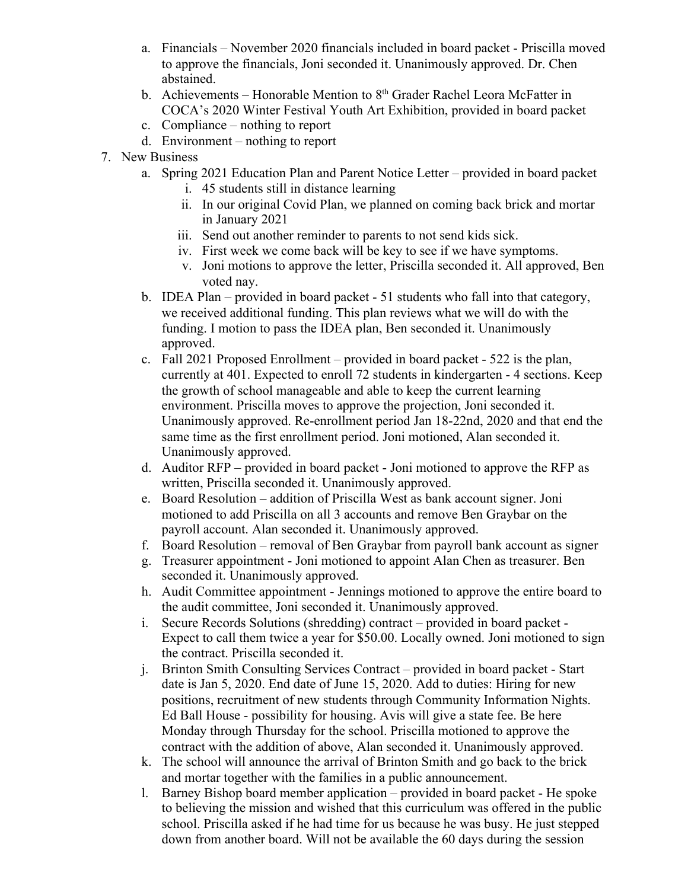- a. Financials November 2020 financials included in board packet Priscilla moved to approve the financials, Joni seconded it. Unanimously approved. Dr. Chen abstained.
- b. Achievements Honorable Mention to 8<sup>th</sup> Grader Rachel Leora McFatter in COCA's 2020 Winter Festival Youth Art Exhibition, provided in board packet
- c. Compliance nothing to report
- d. Environment nothing to report
- 7. New Business
	- a. Spring 2021 Education Plan and Parent Notice Letter provided in board packet
		- i. 45 students still in distance learning
		- ii. In our original Covid Plan, we planned on coming back brick and mortar in January 2021
		- iii. Send out another reminder to parents to not send kids sick.
		- iv. First week we come back will be key to see if we have symptoms.
		- v. Joni motions to approve the letter, Priscilla seconded it. All approved, Ben voted nay.
	- b. IDEA Plan provided in board packet 51 students who fall into that category, we received additional funding. This plan reviews what we will do with the funding. I motion to pass the IDEA plan, Ben seconded it. Unanimously approved.
	- c. Fall 2021 Proposed Enrollment provided in board packet 522 is the plan, currently at 401. Expected to enroll 72 students in kindergarten - 4 sections. Keep the growth of school manageable and able to keep the current learning environment. Priscilla moves to approve the projection, Joni seconded it. Unanimously approved. Re-enrollment period Jan 18-22nd, 2020 and that end the same time as the first enrollment period. Joni motioned, Alan seconded it. Unanimously approved.
	- d. Auditor RFP provided in board packet Joni motioned to approve the RFP as written, Priscilla seconded it. Unanimously approved.
	- e. Board Resolution addition of Priscilla West as bank account signer. Joni motioned to add Priscilla on all 3 accounts and remove Ben Graybar on the payroll account. Alan seconded it. Unanimously approved.
	- f. Board Resolution removal of Ben Graybar from payroll bank account as signer
	- g. Treasurer appointment Joni motioned to appoint Alan Chen as treasurer. Ben seconded it. Unanimously approved.
	- h. Audit Committee appointment Jennings motioned to approve the entire board to the audit committee, Joni seconded it. Unanimously approved.
	- i. Secure Records Solutions (shredding) contract provided in board packet Expect to call them twice a year for \$50.00. Locally owned. Joni motioned to sign the contract. Priscilla seconded it.
	- j. Brinton Smith Consulting Services Contract provided in board packet Start date is Jan 5, 2020. End date of June 15, 2020. Add to duties: Hiring for new positions, recruitment of new students through Community Information Nights. Ed Ball House - possibility for housing. Avis will give a state fee. Be here Monday through Thursday for the school. Priscilla motioned to approve the contract with the addition of above, Alan seconded it. Unanimously approved.
	- k. The school will announce the arrival of Brinton Smith and go back to the brick and mortar together with the families in a public announcement.
	- l. Barney Bishop board member application provided in board packet He spoke to believing the mission and wished that this curriculum was offered in the public school. Priscilla asked if he had time for us because he was busy. He just stepped down from another board. Will not be available the 60 days during the session